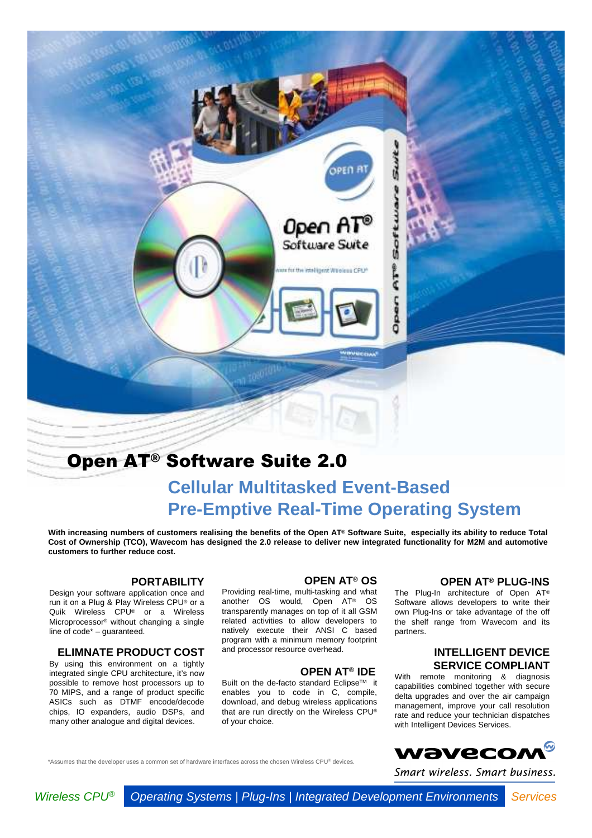

# Open AT® Software Suite 2.0

# **Cellular Multitasked Event-Based Pre-Emptive Real-Time Operating System**

**With increasing numbers of customers realising the benefits of the Open AT® Software Suite, especially its ability to reduce Total Cost of Ownership (TCO), Wavecom has designed the 2.0 release to deliver new integrated functionality for M2M and automotive customers to further reduce cost.**

### **PORTABILITY**

Design your software application once and run it on a Plug & Play Wireless CPU® or a Quik Wireless CPU® or a Wireless Microprocessor® without changing a single line of code\* – guaranteed.

#### **ELIMNATE PRODUCT COST**

By using this environment on a tightly integrated single CPU architecture, it's now possible to remove host processors up to 70 MIPS, and a range of product specific ASICs such as DTMF encode/decode chips, IO expanders, audio DSPs, and many other analogue and digital devices.

#### **OPEN AT® OS**

Providing real-time, multi-tasking and what another OS would, Open AT® OS transparently manages on top of it all GSM related activities to allow developers to natively execute their ANSI C based program with a minimum memory footprint and processor resource overhead.

### **OPEN AT® IDE**

Built on the de-facto standard EclipseTM it enables you to code in C, compile, download, and debug wireless applications that are run directly on the Wireless CPU® of your choice.

### **OPEN AT® PLUG-INS**

The Plug-In architecture of Open AT® Software allows developers to write their own Plug-Ins or take advantage of the off the shelf range from Wavecom and its partners.

### **INTELLIGENT DEVICE SERVICE COMPLIANT**

With remote monitoring & diagnosis capabilities combined together with secure delta upgrades and over the air campaign management, improve your call resolution rate and reduce your technician dispatches with Intelligent Devices Services.



Smart wireless. Smart business.

\*Assumes that the developer uses a common set of hardware interfaces across the chosen Wireless CPU® devices.

Wireless CPU<sup>®</sup> Operating Systems | Plug-Ins | Integrated Development Environments Services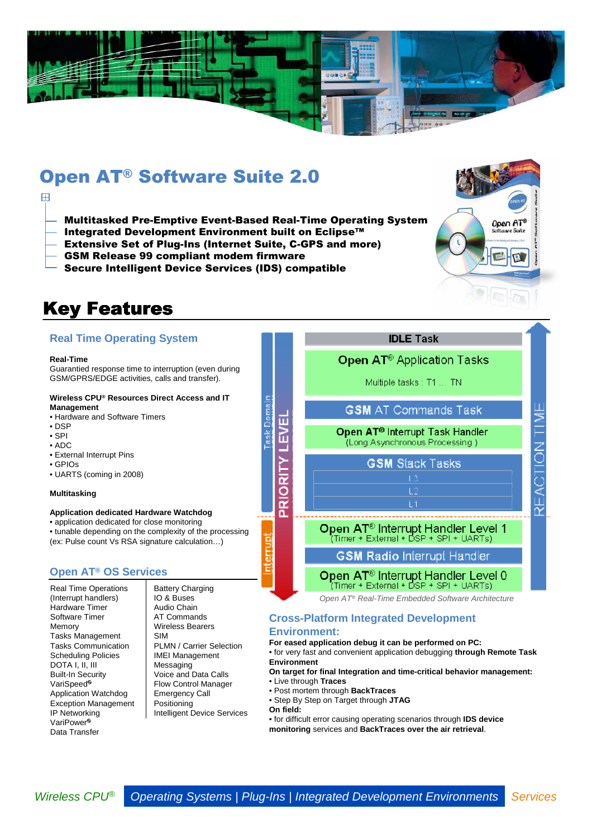

# Open AT® Software Suite 2.0

- Multitasked Pre-Emptive Event-Based Real-Time Operating System
- Integrated Development Environment built on Eclipse™
- Extensive Set of Plug-Ins (Internet Suite, C-GPS and more)
- GSM Release 99 compliant modem firmware
- Secure Intelligent Device Services (IDS) compatible

# Key Features

## **Real Time Operating System**

#### **Real-Time**

 $\overline{H}$ 

Guarantied response time to interruption (even during GSM/GPRS/EDGE activities, calls and transfer).

#### **Wireless CPU® Resources Direct Access and IT Management**

- Hardware and Software Timers
- DSP
- SPI
- ADC
- External Interrupt Pins
- GPIOs
- UARTS (coming in 2008)

#### **Multitasking**

#### **Application dedicated Hardware Watchdog**

• application dedicated for close monitoring

• tunable depending on the complexity of the processing (ex: Pulse count Vs RSA signature calculation…)

### **Open AT® OS Services**

Real Time Operations (Interrupt handlers) Hardware Timer Software Timer Memory Tasks Management Tasks Communication Scheduling Policies DOTA I, II, III Built-In Security VariSpeed<sup>®</sup> Application Watchdog Exception Management IP Networking VariPower<sup>®</sup> Data Transfer

Battery Charging IO & Buses Audio Chain AT Commands Wireless Bearers SIM PLMN / Carrier Selection IMEI Management Messaging Voice and Data Calls Flow Control Manager Emergency Call Positioning

Intelligent Device Services

### **IDLE Task**

Open A1 Software Suite

 $F - F$ 

EACTION<br>TIM

### Open AT<sup>®</sup> Application Tasks

Multiple tasks : T1 ... TN

### **GSM AT Commands Task**

Open AT<sup>®</sup> Interrupt Task Handler .<br>(Long Asynchronous Processing )

**GSM Stack Tasks** 

Open AT<sup>®</sup> Interrupt Handler Level 1 (Timer + External + DSP + SPI + UARTs)

ĪТ \_\_\_\_\_\_\_\_\_\_\_\_\_\_\_\_\_\_\_

**GSM Radio Interrupt Handler** 

# Open AT<sup>®</sup> Interrupt Handler Level 0<br>(Timer + External + DSP + SPI + UARTs)

Open AT® Real-Time Embedded Software Architecture

### **Cross-Platform Integrated Development**

### **Environment:**

**For eased application debug it can be performed on PC:** 

• for very fast and convenient application debugging **through Remote Task Environment** 

#### **On target for final Integration and time-critical behavior management:** • Live through **Traces**

• Post mortem through **BackTraces**

• Step By Step on Target through **JTAG**

**On field:**

PRIORITY LI

• for difficult error causing operating scenarios through **IDS device monitoring** services and **BackTraces over the air retrieval**.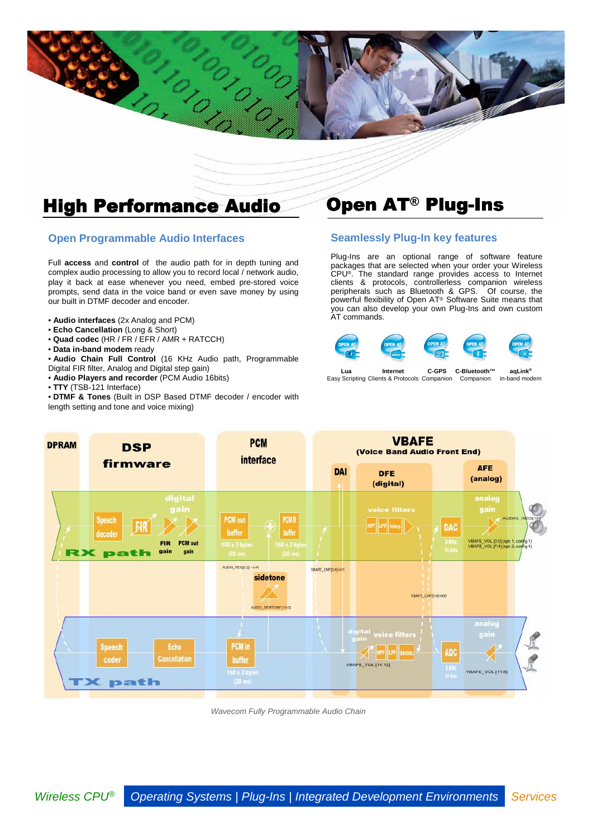

C. C. Claro

### **Open Programmable Audio Interfaces**

Full **access** and **control** of the audio path for in depth tuning and complex audio processing to allow you to record local / network audio, play it back at ease whenever you need, embed pre-stored voice prompts, send data in the voice band or even save money by using our built in DTMF decoder and encoder.

- **Audio interfaces** (2x Analog and PCM)
- **Echo Cancellation** (Long & Short)
- **Quad codec** (HR / FR / EFR / AMR + RATCCH)
- **Data in-band modem** ready
- **Audio Chain Full Control** (16 KHz Audio path, Programmable
- Digital FIR filter, Analog and Digital step gain)
- **Audio Players and recorder** (PCM Audio 16bits)
- **TTY** (TSB-121 Interface)

• **DTMF & Tones** (Built in DSP Based DTMF decoder / encoder with length setting and tone and voice mixing)

### **Seamlessly Plug-In key features**

Plug-Ins are an optional range of software feature packages that are selected when your order your Wireless CPU®. The standard range provides access to Internet clients & protocols, controllerless companion wireless peripherals such as Bluetooth & GPS. Of course, the powerful flexibility of Open AT® Software Suite means that you can also develop your own Plug-Ins and own custom AT commands.



Easy Scripting Clients & Protocols Companion in-band modem Companion **aqLink®**



Wavecom Fully Programmable Audio Chain